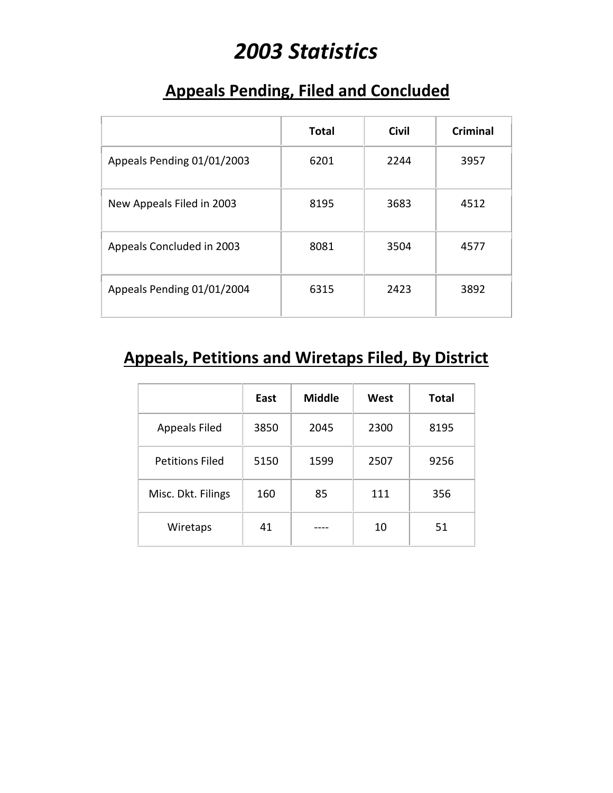# *2003 Statistics*

#### **Appeals Pending, Filed and Concluded**

|                            | <b>Total</b> | <b>Civil</b> | Criminal |
|----------------------------|--------------|--------------|----------|
| Appeals Pending 01/01/2003 | 6201         | 2244         | 3957     |
| New Appeals Filed in 2003  | 8195         | 3683         | 4512     |
| Appeals Concluded in 2003  | 8081         | 3504         | 4577     |
| Appeals Pending 01/01/2004 | 6315         | 2423         | 3892     |

### **Appeals, Petitions and Wiretaps Filed, By District**

|                        | East | <b>Middle</b> | West | <b>Total</b> |
|------------------------|------|---------------|------|--------------|
| <b>Appeals Filed</b>   | 3850 | 2045          | 2300 | 8195         |
| <b>Petitions Filed</b> | 5150 | 1599          | 2507 | 9256         |
| Misc. Dkt. Filings     | 160  | 85            | 111  | 356          |
| Wiretaps               | 41   |               | 10   | 51           |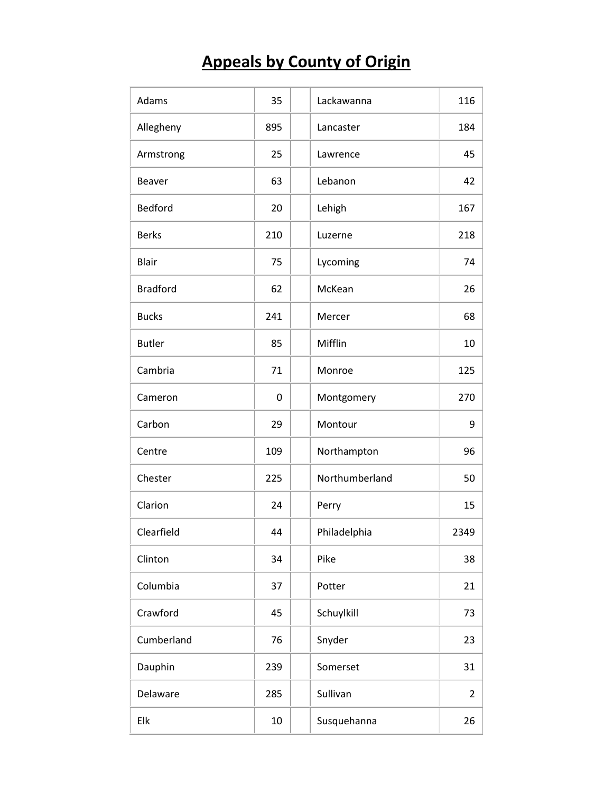## **Appeals by County of Origin**

| Adams           | 35  | Lackawanna     | 116            |
|-----------------|-----|----------------|----------------|
| Allegheny       | 895 | Lancaster      | 184            |
| Armstrong       | 25  | Lawrence       | 45             |
| <b>Beaver</b>   | 63  | Lebanon        | 42             |
| <b>Bedford</b>  | 20  | Lehigh         | 167            |
| <b>Berks</b>    | 210 | Luzerne        | 218            |
| <b>Blair</b>    | 75  | Lycoming       | 74             |
| <b>Bradford</b> | 62  | McKean         | 26             |
| <b>Bucks</b>    | 241 | Mercer         | 68             |
| <b>Butler</b>   | 85  | Mifflin        | 10             |
| Cambria         | 71  | Monroe         | 125            |
| Cameron         | 0   | Montgomery     | 270            |
| Carbon          | 29  | Montour        | 9              |
| Centre          | 109 | Northampton    | 96             |
| Chester         | 225 | Northumberland | 50             |
| Clarion         | 24  | Perry          | 15             |
| Clearfield      | 44  | Philadelphia   | 2349           |
| Clinton         | 34  | Pike           | 38             |
| Columbia        | 37  | Potter         | 21             |
| Crawford        | 45  | Schuylkill     | 73             |
| Cumberland      | 76  | Snyder         | 23             |
| Dauphin         | 239 | Somerset       | 31             |
| Delaware        | 285 | Sullivan       | $\overline{2}$ |
| Elk             | 10  | Susquehanna    | 26             |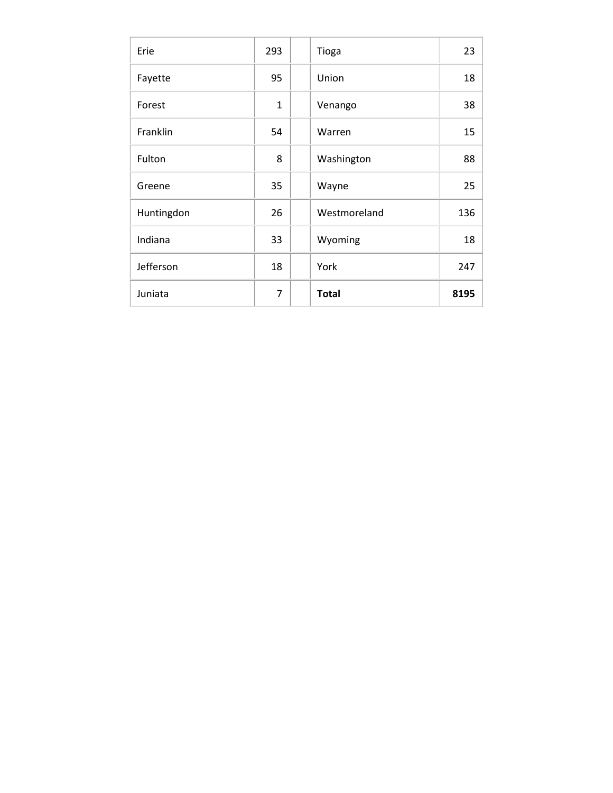| Erie       | 293            | Tioga        | 23   |
|------------|----------------|--------------|------|
| Fayette    | 95             | Union        | 18   |
| Forest     | $\mathbf{1}$   | Venango      | 38   |
| Franklin   | 54             | Warren       | 15   |
| Fulton     | 8              | Washington   | 88   |
| Greene     | 35             | Wayne        | 25   |
| Huntingdon | 26             | Westmoreland | 136  |
| Indiana    | 33             | Wyoming      | 18   |
| Jefferson  | 18             | York         | 247  |
| Juniata    | $\overline{7}$ | <b>Total</b> | 8195 |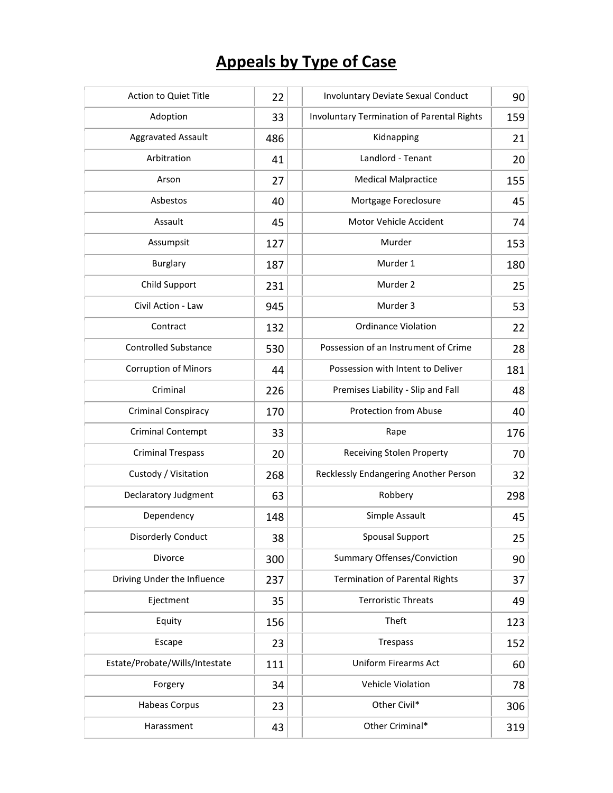## **Appeals by Type of Case**

| Action to Quiet Title          | 22  | <b>Involuntary Deviate Sexual Conduct</b>  |     |
|--------------------------------|-----|--------------------------------------------|-----|
| Adoption                       | 33  | Involuntary Termination of Parental Rights | 159 |
| <b>Aggravated Assault</b>      | 486 | Kidnapping                                 | 21  |
| Arbitration                    | 41  | Landlord - Tenant                          | 20  |
| Arson                          | 27  | <b>Medical Malpractice</b>                 | 155 |
| Asbestos                       | 40  | Mortgage Foreclosure                       | 45  |
| Assault                        | 45  | Motor Vehicle Accident                     | 74  |
| Assumpsit                      | 127 | Murder                                     | 153 |
| <b>Burglary</b>                | 187 | Murder 1                                   | 180 |
| Child Support                  | 231 | Murder 2                                   | 25  |
| Civil Action - Law             | 945 | Murder 3                                   | 53  |
| Contract                       | 132 | <b>Ordinance Violation</b>                 | 22  |
| <b>Controlled Substance</b>    | 530 | Possession of an Instrument of Crime       | 28  |
| <b>Corruption of Minors</b>    | 44  | Possession with Intent to Deliver          | 181 |
| Criminal                       | 226 | Premises Liability - Slip and Fall         | 48  |
| <b>Criminal Conspiracy</b>     | 170 | <b>Protection from Abuse</b>               | 40  |
| <b>Criminal Contempt</b>       | 33  | Rape                                       | 176 |
| <b>Criminal Trespass</b>       | 20  | <b>Receiving Stolen Property</b>           | 70  |
| Custody / Visitation           | 268 | Recklessly Endangering Another Person      | 32  |
| Declaratory Judgment           | 63  | Robbery                                    | 298 |
| Dependency                     | 148 | Simple Assault                             | 45  |
| <b>Disorderly Conduct</b>      | 38  | <b>Spousal Support</b>                     | 25  |
| Divorce                        | 300 | Summary Offenses/Conviction                | 90  |
| Driving Under the Influence    | 237 | <b>Termination of Parental Rights</b>      | 37  |
| Ejectment                      | 35  | <b>Terroristic Threats</b>                 | 49  |
| Equity                         | 156 | Theft                                      | 123 |
| Escape                         | 23  | Trespass                                   | 152 |
| Estate/Probate/Wills/Intestate | 111 | <b>Uniform Firearms Act</b>                | 60  |
| Forgery                        | 34  | Vehicle Violation                          | 78  |
| <b>Habeas Corpus</b>           | 23  | Other Civil*                               | 306 |
| Harassment                     | 43  | Other Criminal*                            | 319 |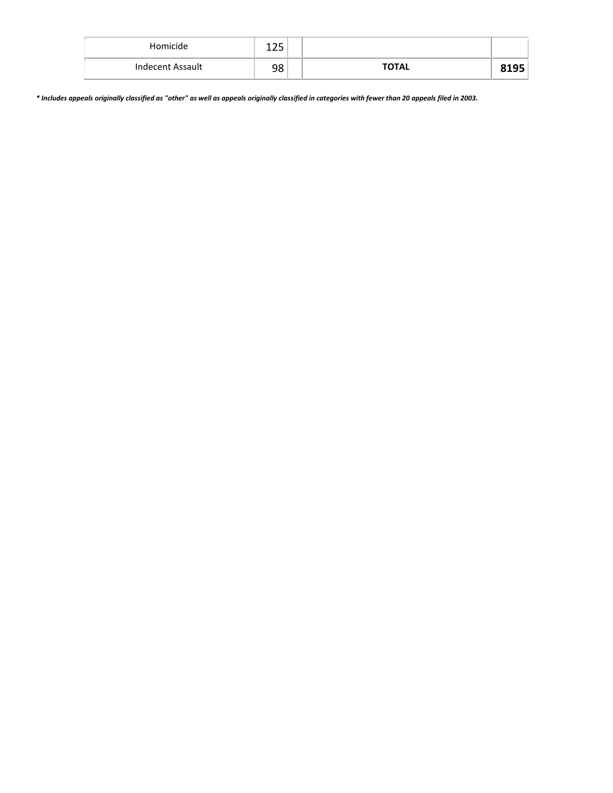| Homicide         | <b>OF</b><br>ᆂᄼ |              |  |
|------------------|-----------------|--------------|--|
| Indecent Assault | 98              | <b>TOTAL</b> |  |

*\* Includes appeals originally classified as "other" as well as appeals originally classified in categories with fewer than 20 appeals filed in 2003.*